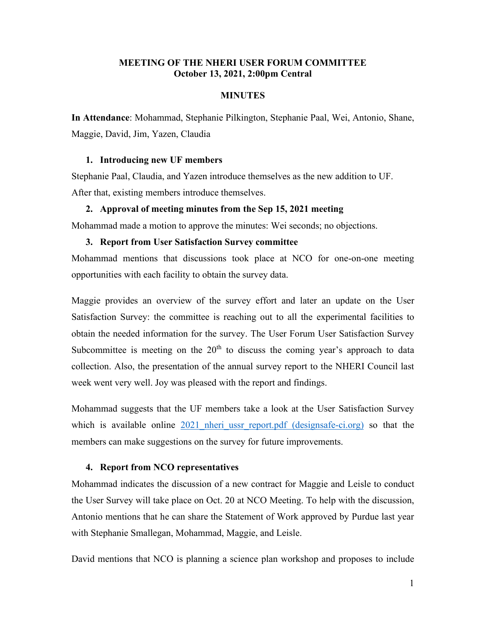# **MEETING OF THE NHERI USER FORUM COMMITTEE October 13, 2021, 2:00pm Central**

# **MINUTES**

**In Attendance**: Mohammad, Stephanie Pilkington, Stephanie Paal, Wei, Antonio, Shane, Maggie, David, Jim, Yazen, Claudia

## **1. Introducing new UF members**

Stephanie Paal, Claudia, and Yazen introduce themselves as the new addition to UF. After that, existing members introduce themselves.

#### **2. Approval of meeting minutes from the Sep 15, 2021 meeting**

Mohammad made a motion to approve the minutes: Wei seconds; no objections.

# **3. Report from User Satisfaction Survey committee**

Mohammad mentions that discussions took place at NCO for one-on-one meeting opportunities with each facility to obtain the survey data.

Maggie provides an overview of the survey effort and later an update on the User Satisfaction Survey: the committee is reaching out to all the experimental facilities to obtain the needed information for the survey. The User Forum User Satisfaction Survey Subcommittee is meeting on the  $20<sup>th</sup>$  to discuss the coming year's approach to data collection. Also, the presentation of the annual survey report to the NHERI Council last week went very well. Joy was pleased with the report and findings.

Mohammad suggests that the UF members take a look at the User Satisfaction Survey which is available online 2021 nheri ussr report.pdf (designsafe-ci.org) so that the members can make suggestions on the survey for future improvements.

### **4. Report from NCO representatives**

Mohammad indicates the discussion of a new contract for Maggie and Leisle to conduct the User Survey will take place on Oct. 20 at NCO Meeting. To help with the discussion, Antonio mentions that he can share the Statement of Work approved by Purdue last year with Stephanie Smallegan, Mohammad, Maggie, and Leisle.

David mentions that NCO is planning a science plan workshop and proposes to include